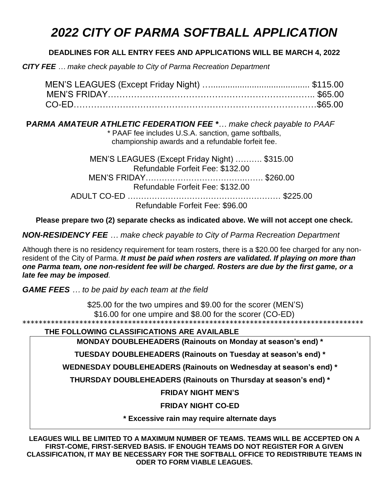## *2022 CITY OF PARMA SOFTBALL APPLICATION*

## **DEADLINES FOR ALL ENTRY FEES AND APPLICATIONS WILL BE MARCH 4, 2022**

*CITY FEE … make check payable to City of Parma Recreation Department*

 **P***ARMA AMATEUR ATHLETIC FEDERATION FEE \*… make check payable to PAAF* \* PAAF fee includes U.S.A. sanction, game softballs, championship awards and a refundable forfeit fee.

| MEN'S LEAGUES (Except Friday Night)  \$315.00 |  |
|-----------------------------------------------|--|
| Refundable Forfeit Fee: \$132.00              |  |
|                                               |  |
| Refundable Forfeit Fee: \$132.00              |  |
|                                               |  |
| Refundable Forfeit Fee: \$96.00               |  |

**Please prepare two (2) separate checks as indicated above. We will not accept one check.**

*NON-RESIDENCY FEE … make check payable to City of Parma Recreation Department*

Although there is no residency requirement for team rosters, there is a \$20.00 fee charged for any nonresident of the City of Parma. *It must be paid when rosters are validated. If playing on more than one Parma team, one non-resident fee will be charged. Rosters are due by the first game, or a late fee may be imposed.*

*GAME FEES … to be paid by each team at the field*

\$25.00 for the two umpires and \$9.00 for the scorer (MEN'S) \$16.00 for one umpire and \$8.00 for the scorer (CO-ED)

\*\*\*\*\*\*\*\*\*\*\*\*\*\*\*\*\*\*\*\*\*\*\*\*\*\*\*\*\*\*\*\*\*\*\*\*\*\*\*\*\*\*\*\*\*\*\*\*\*\*\*\*\*\*\*\*\*\*\*\*\*\*\*\*\*\*\*\*\*\*\*\*\*\*\*\*\*\*\*\*\*\*\*\*

**THE FOLLOWING CLASSIFICATIONS ARE AVAILABLE**

**MONDAY DOUBLEHEADERS (Rainouts on Monday at season's end) \***

**TUESDAY DOUBLEHEADERS (Rainouts on Tuesday at season's end) \***

**WEDNESDAY DOUBLEHEADERS (Rainouts on Wednesday at season's end) \***

**THURSDAY DOUBLEHEADERS (Rainouts on Thursday at season's end) \***

**FRIDAY NIGHT MEN'S** 

**FRIDAY NIGHT CO-ED**

**\* Excessive rain may require alternate days**

**LEAGUES WILL BE LIMITED TO A MAXIMUM NUMBER OF TEAMS. TEAMS WILL BE ACCEPTED ON A FIRST-COME, FIRST-SERVED BASIS. IF ENOUGH TEAMS DO NOT REGISTER FOR A GIVEN CLASSIFICATION, IT MAY BE NECESSARY FOR THE SOFTBALL OFFICE TO REDISTRIBUTE TEAMS IN ODER TO FORM VIABLE LEAGUES.**